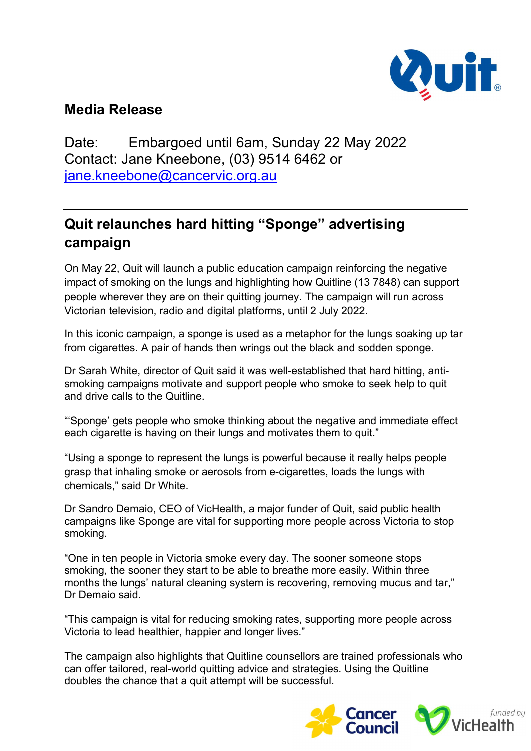

## Media Release

Date: Embargoed until 6am, Sunday 22 May 2022 Contact: Jane Kneebone, (03) 9514 6462 or jane.kneebone@cancervic.org.au

## Quit relaunches hard hitting "Sponge" advertising campaign

On May 22, Quit will launch a public education campaign reinforcing the negative impact of smoking on the lungs and highlighting how Quitline (13 7848) can support people wherever they are on their quitting journey. The campaign will run across Victorian television, radio and digital platforms, until 2 July 2022.

In this iconic campaign, a sponge is used as a metaphor for the lungs soaking up tar from cigarettes. A pair of hands then wrings out the black and sodden sponge.

Dr Sarah White, director of Quit said it was well-established that hard hitting, antismoking campaigns motivate and support people who smoke to seek help to quit and drive calls to the Quitline.

"'Sponge' gets people who smoke thinking about the negative and immediate effect each cigarette is having on their lungs and motivates them to quit."

"Using a sponge to represent the lungs is powerful because it really helps people grasp that inhaling smoke or aerosols from e-cigarettes, loads the lungs with chemicals," said Dr White.

Dr Sandro Demaio, CEO of VicHealth, a major funder of Quit, said public health campaigns like Sponge are vital for supporting more people across Victoria to stop smoking.

"One in ten people in Victoria smoke every day. The sooner someone stops smoking, the sooner they start to be able to breathe more easily. Within three months the lungs' natural cleaning system is recovering, removing mucus and tar," Dr Demaio said.

"This campaign is vital for reducing smoking rates, supporting more people across Victoria to lead healthier, happier and longer lives."

The campaign also highlights that Quitline counsellors are trained professionals who can offer tailored, real-world quitting advice and strategies. Using the Quitline doubles the chance that a quit attempt will be successful.